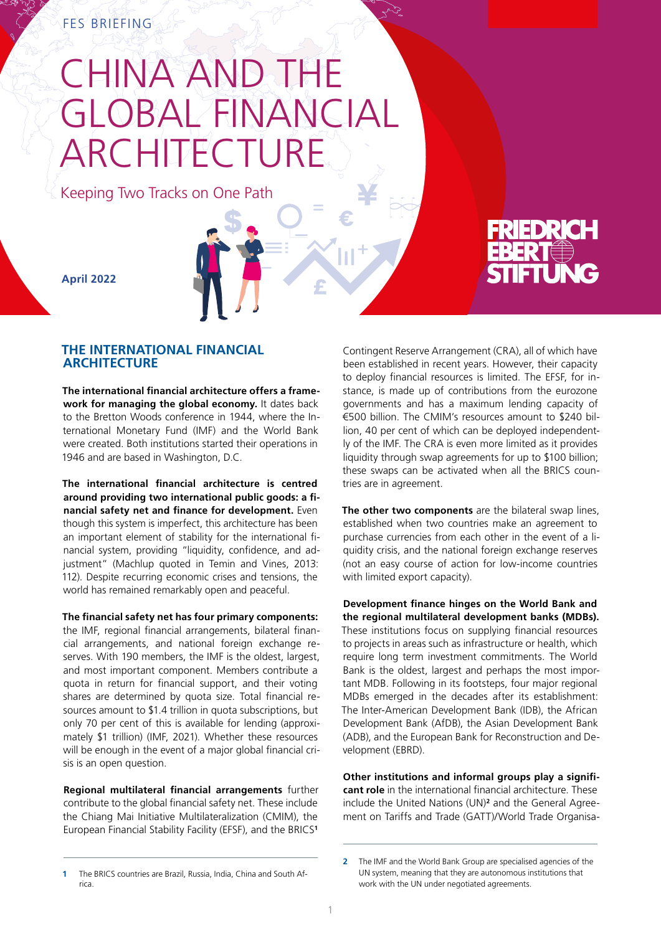# CHINA AND THE GLOBAL FINANCIAL ARCHITECTURE

Keeping Two Tracks on One Path



**April 2022**

## **THE INTERNATIONAL FINANCIAL ARCHITECTURE**

**The international financial architecture offers a framework for managing the global economy.** It dates back to the Bretton Woods conference in 1944, where the International Monetary Fund (IMF) and the World Bank were created. Both institutions started their operations in 1946 and are based in Washington, D.C.

**The international financial architecture is centred around providing two international public goods: a financial safety net and finance for development.** Even though this system is imperfect, this architecture has been an important element of stability for the international financial system, providing "liquidity, confidence, and adjustment" (Machlup quoted in Temin and Vines, 2013: 112). Despite recurring economic crises and tensions, the world has remained remarkably open and peaceful.

**The financial safety net has four primary components:**  the IMF, regional financial arrangements, bilateral financial arrangements, and national foreign exchange reserves. With 190 members, the IMF is the oldest, largest, and most important component. Members contribute a quota in return for financial support, and their voting shares are determined by quota size. Total financial resources amount to \$1.4 trillion in quota subscriptions, but only 70 per cent of this is available for lending (approximately \$1 trillion) (IMF, 2021). Whether these resources will be enough in the event of a major global financial crisis is an open question.

**Regional multilateral financial arrangements** further contribute to the global financial safety net. These include the Chiang Mai Initiative Multilateralization (CMIM), the European Financial Stability Facility (EFSF), and the BRICS**<sup>1</sup>**

Contingent Reserve Arrangement (CRA), all of which have been established in recent years. However, their capacity to deploy financial resources is limited. The EFSF, for instance, is made up of contributions from the eurozone governments and has a maximum lending capacity of €500 billion. The CMIM's resources amount to \$240 billion, 40 per cent of which can be deployed independently of the IMF. The CRA is even more limited as it provides liquidity through swap agreements for up to \$100 billion; these swaps can be activated when all the BRICS countries are in agreement.

**The other two components** are the bilateral swap lines, established when two countries make an agreement to purchase currencies from each other in the event of a liquidity crisis, and the national foreign exchange reserves (not an easy course of action for low-income countries with limited export capacity).

**Development finance hinges on the World Bank and the regional multilateral development banks (MDBs).**  These institutions focus on supplying financial resources to projects in areas such as infrastructure or health, which require long term investment commitments. The World Bank is the oldest, largest and perhaps the most important MDB. Following in its footsteps, four major regional MDBs emerged in the decades after its establishment: The Inter-American Development Bank (IDB), the African Development Bank (AfDB), the Asian Development Bank (ADB), and the European Bank for Reconstruction and Development (EBRD).

**Other institutions and informal groups play a significant role** in the international financial architecture. These include the United Nations (UN)**<sup>2</sup>** and the General Agreement on Tariffs and Trade (GATT)/World Trade Organisa-

**<sup>1</sup>** The BRICS countries are Brazil, Russia, India, China and South Africa.

**<sup>2</sup>** The IMF and the World Bank Group are specialised agencies of the UN system, meaning that they are autonomous institutions that work with the UN under negotiated agreements.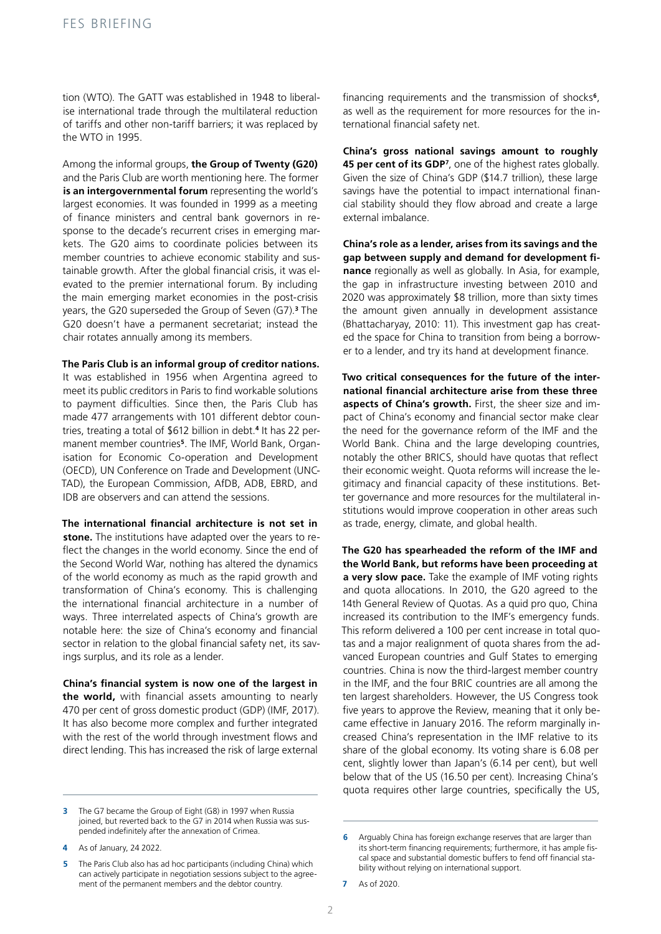tion (WTO). The GATT was established in 1948 to liberalise international trade through the multilateral reduction of tariffs and other non-tariff barriers; it was replaced by the WTO in 1995.

Among the informal groups, **the Group of Twenty (G20)**  and the Paris Club are worth mentioning here. The former is an intergovernmental forum representing the world's largest economies. It was founded in 1999 as a meeting of finance ministers and central bank governors in response to the decade's recurrent crises in emerging markets. The G20 aims to coordinate policies between its member countries to achieve economic stability and sustainable growth. After the global financial crisis, it was elevated to the premier international forum. By including the main emerging market economies in the post-crisis years, the G20 superseded the Group of Seven (G7).**<sup>3</sup>** The G20 doesn't have a permanent secretariat; instead the chair rotates annually among its members.

#### **The Paris Club is an informal group of creditor nations.**

It was established in 1956 when Argentina agreed to meet its public creditors in Paris to find workable solutions to payment difficulties. Since then, the Paris Club has made 477 arrangements with 101 different debtor countries, treating a total of \$612 billion in debt.**<sup>4</sup>** It has 22 permanent member countries**5**. The IMF, World Bank, Organisation for Economic Co-operation and Development (OECD), UN Conference on Trade and Development (UNC-TAD), the European Commission, AfDB, ADB, EBRD, and IDB are observers and can attend the sessions.

**The international financial architecture is not set in stone.** The institutions have adapted over the years to reflect the changes in the world economy. Since the end of the Second World War, nothing has altered the dynamics of the world economy as much as the rapid growth and transformation of China's economy. This is challenging the international financial architecture in a number of ways. Three interrelated aspects of China's growth are notable here: the size of China's economy and financial sector in relation to the global financial safety net, its savings surplus, and its role as a lender.

**China's financial system is now one of the largest in the world,** with financial assets amounting to nearly 470 per cent of gross domestic product (GDP) (IMF, 2017). It has also become more complex and further integrated with the rest of the world through investment flows and direct lending. This has increased the risk of large external

financing requirements and the transmission of shocks**<sup>6</sup>**, as well as the requirement for more resources for the international financial safety net.

**China's gross national savings amount to roughly 45 per cent of its GDP<sup>7</sup>**, one of the highest rates globally. Given the size of China's GDP (\$14.7 trillion), these large savings have the potential to impact international financial stability should they flow abroad and create a large external imbalance.

**China's role as a lender, arises from its savings and the gap between supply and demand for development finance** regionally as well as globally. In Asia, for example, the gap in infrastructure investing between 2010 and 2020 was approximately \$8 trillion, more than sixty times the amount given annually in development assistance (Bhattacharyay, 2010: 11). This investment gap has created the space for China to transition from being a borrower to a lender, and try its hand at development finance.

**Two critical consequences for the future of the international financial architecture arise from these three aspects of China's growth.** First, the sheer size and impact of China's economy and financial sector make clear the need for the governance reform of the IMF and the World Bank. China and the large developing countries, notably the other BRICS, should have quotas that reflect their economic weight. Quota reforms will increase the legitimacy and financial capacity of these institutions. Better governance and more resources for the multilateral institutions would improve cooperation in other areas such as trade, energy, climate, and global health.

**The G20 has spearheaded the reform of the IMF and the World Bank, but reforms have been proceeding at a very slow pace.** Take the example of IMF voting rights and quota allocations. In 2010, the G20 agreed to the 14th General Review of Quotas. As a quid pro quo, China increased its contribution to the IMF's emergency funds. This reform delivered a 100 per cent increase in total quotas and a major realignment of quota shares from the advanced European countries and Gulf States to emerging countries. China is now the third-largest member country in the IMF, and the four BRIC countries are all among the ten largest shareholders. However, the US Congress took five years to approve the Review, meaning that it only became effective in January 2016. The reform marginally increased China's representation in the IMF relative to its share of the global economy. Its voting share is 6.08 per cent, slightly lower than Japan's (6.14 per cent), but well below that of the US (16.50 per cent). Increasing China's quota requires other large countries, specifically the US,

**<sup>3</sup>** The G7 became the Group of Eight (G8) in 1997 when Russia joined, but reverted back to the G7 in 2014 when Russia was suspended indefinitely after the annexation of Crimea.

**<sup>4</sup>** As of January, 24 2022.

**<sup>5</sup>** The Paris Club also has ad hoc participants (including China) which can actively participate in negotiation sessions subject to the agreement of the permanent members and the debtor country.

**<sup>6</sup>** Arguably China has foreign exchange reserves that are larger than its short-term financing requirements; furthermore, it has ample fiscal space and substantial domestic buffers to fend off financial stability without relying on international support.

**<sup>7</sup>** As of 2020.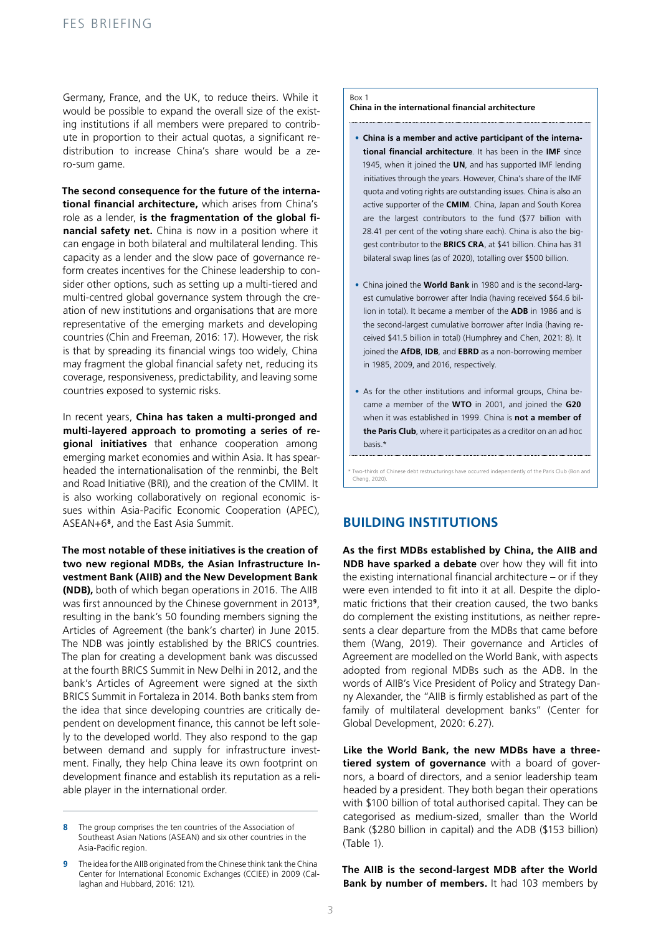Germany, France, and the UK, to reduce theirs. While it would be possible to expand the overall size of the existing institutions if all members were prepared to contribute in proportion to their actual quotas, a significant redistribution to increase China's share would be a zero-sum game.

**The second consequence for the future of the international financial architecture,** which arises from China's role as a lender, **is the fragmentation of the global financial safety net.** China is now in a position where it can engage in both bilateral and multilateral lending. This capacity as a lender and the slow pace of governance reform creates incentives for the Chinese leadership to consider other options, such as setting up a multi-tiered and multi-centred global governance system through the creation of new institutions and organisations that are more representative of the emerging markets and developing countries (Chin and Freeman, 2016: 17). However, the risk is that by spreading its financial wings too widely, China may fragment the global financial safety net, reducing its coverage, responsiveness, predictability, and leaving some countries exposed to systemic risks.

In recent years, **China has taken a multi-pronged and multi-layered approach to promoting a series of regional initiatives** that enhance cooperation among emerging market economies and within Asia. It has spearheaded the internationalisation of the renminbi, the Belt and Road Initiative (BRI), and the creation of the CMIM. It is also working collaboratively on regional economic issues within Asia-Pacific Economic Cooperation (APEC), ASEAN+6**<sup>8</sup>**, and the East Asia Summit.

**The most notable of these initiatives is the creation of two new regional MDBs, the Asian Infrastructure Investment Bank (AIIB) and the New Development Bank (NDB),** both of which began operations in 2016. The AIIB was first announced by the Chinese government in 2013**<sup>9</sup>**, resulting in the bank's 50 founding members signing the Articles of Agreement (the bank's charter) in June 2015. The NDB was jointly established by the BRICS countries. The plan for creating a development bank was discussed at the fourth BRICS Summit in New Delhi in 2012, and the bank's Articles of Agreement were signed at the sixth BRICS Summit in Fortaleza in 2014. Both banks stem from the idea that since developing countries are critically dependent on development finance, this cannot be left solely to the developed world. They also respond to the gap between demand and supply for infrastructure investment. Finally, they help China leave its own footprint on development finance and establish its reputation as a reliable player in the international order.

#### Box 1

**China in the international financial architecture**

- **China is a member and active participant of the international financial architecture**. It has been in the **IMF** since 1945, when it joined the **UN**, and has supported IMF lending initiatives through the years. However, China's share of the IMF quota and voting rights are outstanding issues. China is also an active supporter of the **CMIM**. China, Japan and South Korea are the largest contributors to the fund (\$77 billion with 28.41 per cent of the voting share each). China is also the biggest contributor to the **BRICS CRA**, at \$41 billion. China has 31 bilateral swap lines (as of 2020), totalling over \$500 billion.
- China joined the **World Bank** in 1980 and is the second-largest cumulative borrower after India (having received \$64.6 billion in total). It became a member of the **ADB** in 1986 and is the second-largest cumulative borrower after India (having received \$41.5 billion in total) (Humphrey and Chen, 2021: 8). It joined the **AfDB**, **IDB**, and **EBRD** as a non-borrowing member in 1985, 2009, and 2016, respectively.
- As for the other institutions and informal groups, China became a member of the **WTO** in 2001, and joined the **G20** when it was established in 1999. China is **not a member of the Paris Club**, where it participates as a creditor on an ad hoc basis.\*

\* Two-thirds of Chinese debt restructurings have occurred independently of the Paris Club (Bon and Cheng, 2020).

# **BUILDING INSTITUTIONS**

**As the first MDBs established by China, the AIIB and NDB have sparked a debate** over how they will fit into the existing international financial architecture – or if they were even intended to fit into it at all. Despite the diplomatic frictions that their creation caused, the two banks do complement the existing institutions, as neither represents a clear departure from the MDBs that came before them (Wang, 2019). Their governance and Articles of Agreement are modelled on the World Bank, with aspects adopted from regional MDBs such as the ADB. In the words of AIIB's Vice President of Policy and Strategy Danny Alexander, the "AIIB is firmly established as part of the family of multilateral development banks" (Center for Global Development, 2020: 6.27).

**Like the World Bank, the new MDBs have a threetiered system of governance** with a board of governors, a board of directors, and a senior leadership team headed by a president. They both began their operations with \$100 billion of total authorised capital. They can be categorised as medium-sized, smaller than the World Bank (\$280 billion in capital) and the ADB (\$153 billion) (Table 1).

**The AIIB is the second-largest MDB after the World Bank by number of members.** It had 103 members by

**<sup>8</sup>** The group comprises the ten countries of the Association of Southeast Asian Nations (ASEAN) and six other countries in the Asia-Pacific region.

**<sup>9</sup>** The idea for the AIIB originated from the Chinese think tank the China Center for International Economic Exchanges (CCIEE) in 2009 (Callaghan and Hubbard, 2016: 121).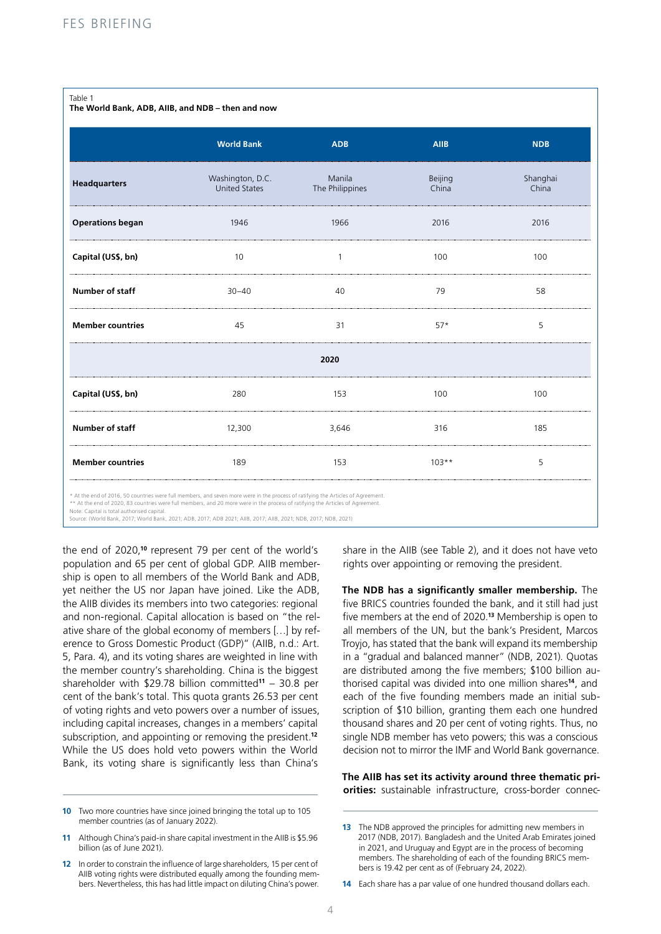#### Table 1

**The World Bank, ADB, AIIB, and NDB – then and now** 

|                         | <b>World Bank</b>                        | <b>ADB</b>                | <b>AIIB</b>      | <b>NDB</b>        |  |  |  |
|-------------------------|------------------------------------------|---------------------------|------------------|-------------------|--|--|--|
| <b>Headquarters</b>     | Washington, D.C.<br><b>United States</b> | Manila<br>The Philippines | Beijing<br>China | Shanghai<br>China |  |  |  |
| <b>Operations began</b> | 1946                                     | 1966                      | 2016             | 2016              |  |  |  |
| Capital (US\$, bn)      | 10                                       | $\mathbf{1}$              | 100              | 100               |  |  |  |
| Number of staff         | $30 - 40$                                | 40                        | 79               | 58                |  |  |  |
| <b>Member countries</b> | 45                                       | 31                        | $57*$            | 5                 |  |  |  |
| 2020                    |                                          |                           |                  |                   |  |  |  |
| Capital (US\$, bn)      | 280                                      | 153                       | 100              | 100               |  |  |  |
| Number of staff         | 12,300                                   | 3,646                     | 316              | 185               |  |  |  |
| <b>Member countries</b> | 189                                      | 153                       | $103**$          | 5                 |  |  |  |
|                         |                                          |                           |                  |                   |  |  |  |

\* At the end of 2016, 50 countries were full members, and seven more were in the process of ratifying the Articles of Agreemen

\*\* At the end of 2020, 83 countries were full members, and 20 more were in the process of ratifying the Articles of Agreement Note: Capital is total authorised capital.

Source: (World Bank, 2017; World Bank, 2021; ADB, 2017; ADB 2021; AIIB, 2017; AIIB, 2021; NDB, 2017; NDB, 2021)

the end of 2020,**<sup>10</sup>** represent 79 per cent of the world's population and 65 per cent of global GDP. AIIB membership is open to all members of the World Bank and ADB, yet neither the US nor Japan have joined. Like the ADB, the AIIB divides its members into two categories: regional and non-regional. Capital allocation is based on "the relative share of the global economy of members […] by reference to Gross Domestic Product (GDP)" (AIIB, n.d.: Art. 5, Para. 4), and its voting shares are weighted in line with the member country's shareholding. China is the biggest shareholder with \$29.78 billion committed**<sup>11</sup>** – 30.8 per cent of the bank's total. This quota grants 26.53 per cent of voting rights and veto powers over a number of issues, including capital increases, changes in a members' capital subscription, and appointing or removing the president.**<sup>12</sup>** While the US does hold veto powers within the World Bank, its voting share is significantly less than China's

**10** Two more countries have since joined bringing the total up to 105 member countries (as of January 2022).

share in the AIIB (see Table 2), and it does not have veto rights over appointing or removing the president.

**The NDB has a significantly smaller membership.** The five BRICS countries founded the bank, and it still had just five members at the end of 2020.**<sup>13</sup>** Membership is open to all members of the UN, but the bank's President, Marcos Troyjo, has stated that the bank will expand its membership in a "gradual and balanced manner" (NDB, 2021). Quotas are distributed among the five members; \$100 billion authorised capital was divided into one million shares**<sup>14</sup>**, and each of the five founding members made an initial subscription of \$10 billion, granting them each one hundred thousand shares and 20 per cent of voting rights. Thus, no single NDB member has veto powers; this was a conscious decision not to mirror the IMF and World Bank governance.

### **The AIIB has set its activity around three thematic priorities:** sustainable infrastructure, cross-border connec-

**14** Each share has a par value of one hundred thousand dollars each.

**<sup>11</sup>** Although China's paid-in share capital investment in the AIIB is \$5.96 billion (as of June 2021).

**<sup>12</sup>** In order to constrain the influence of large shareholders, 15 per cent of AIIB voting rights were distributed equally among the founding members. Nevertheless, this has had little impact on diluting China's power.

**<sup>13</sup>** The NDB approved the principles for admitting new members in 2017 (NDB, 2017). Bangladesh and the United Arab Emirates joined in 2021, and Uruguay and Egypt are in the process of becoming members. The shareholding of each of the founding BRICS members is 19.42 per cent as of (February 24, 2022).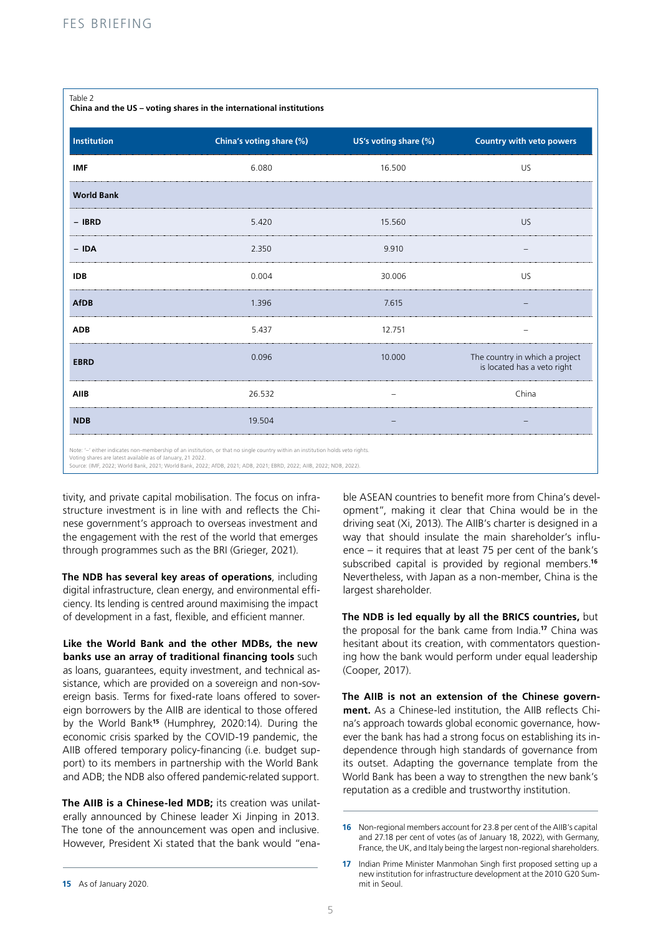#### Table 2

**China and the US – voting shares in the international institutions** 

| Institution       | China's voting share (%) | US's voting share (%) | Country with veto powers                                      |
|-------------------|--------------------------|-----------------------|---------------------------------------------------------------|
| <b>IMF</b>        | 6.080                    | 16.500                | <b>US</b>                                                     |
| <b>World Bank</b> |                          |                       |                                                               |
| $-$ IBRD          | 5.420                    | 15.560                | <b>US</b>                                                     |
| $-$ IDA           | 2.350                    | 9.910                 |                                                               |
| <b>IDB</b>        | 0.004                    | 30.006                | <b>US</b>                                                     |
| <b>AfDB</b>       | 1.396                    | 7.615                 |                                                               |
| <b>ADB</b>        | 5.437                    | 12.751                |                                                               |
| <b>EBRD</b>       | 0.096                    | 10.000                | The country in which a project<br>is located has a veto right |
| AIIB              | 26.532                   |                       | China                                                         |
| <b>NDB</b>        | 19.504                   |                       |                                                               |

Voting shares are latest available as of January, 21 2022. Source: (IMF, 2022; World Bank, 2021; World Bank, 2022; AfDB, 2021; ADB, 2021; EBRD, 2022; AIIB, 2022; NDB, 2022).

tivity, and private capital mobilisation. The focus on infrastructure investment is in line with and reflects the Chinese government's approach to overseas investment and the engagement with the rest of the world that emerges through programmes such as the BRI (Grieger, 2021).

**The NDB has several key areas of operations**, including digital infrastructure, clean energy, and environmental efficiency. Its lending is centred around maximising the impact of development in a fast, flexible, and efficient manner.

**Like the World Bank and the other MDBs, the new banks use an array of traditional financing tools** such as loans, guarantees, equity investment, and technical assistance, which are provided on a sovereign and non-sovereign basis. Terms for fixed-rate loans offered to sovereign borrowers by the AIIB are identical to those offered by the World Bank**<sup>15</sup>** (Humphrey, 2020:14). During the economic crisis sparked by the COVID-19 pandemic, the AIIB offered temporary policy-financing (i.e. budget support) to its members in partnership with the World Bank and ADB; the NDB also offered pandemic-related support.

**The AIIB is a Chinese-led MDB;** its creation was unilaterally announced by Chinese leader Xi Jinping in 2013. The tone of the announcement was open and inclusive. However, President Xi stated that the bank would "ena-

ble ASEAN countries to benefit more from China's development", making it clear that China would be in the driving seat (Xi, 2013). The AIIB's charter is designed in a way that should insulate the main shareholder's influence – it requires that at least 75 per cent of the bank's subscribed capital is provided by regional members.**<sup>16</sup>** Nevertheless, with Japan as a non-member, China is the largest shareholder.

**The NDB is led equally by all the BRICS countries,** but the proposal for the bank came from India.**<sup>17</sup>** China was hesitant about its creation, with commentators questioning how the bank would perform under equal leadership (Cooper, 2017).

**The AIIB is not an extension of the Chinese government.** As a Chinese-led institution, the AIIB reflects China's approach towards global economic governance, however the bank has had a strong focus on establishing its independence through high standards of governance from its outset. Adapting the governance template from the World Bank has been a way to strengthen the new bank's reputation as a credible and trustworthy institution.

**<sup>16</sup>** Non-regional members account for 23.8 per cent of the AIIB's capital and 27.18 per cent of votes (as of January 18, 2022), with Germany, France, the UK, and Italy being the largest non-regional shareholders.

**<sup>17</sup>** Indian Prime Minister Manmohan Singh first proposed setting up a new institution for infrastructure development at the 2010 G20 Summit in Seoul.

**<sup>15</sup>** As of January 2020.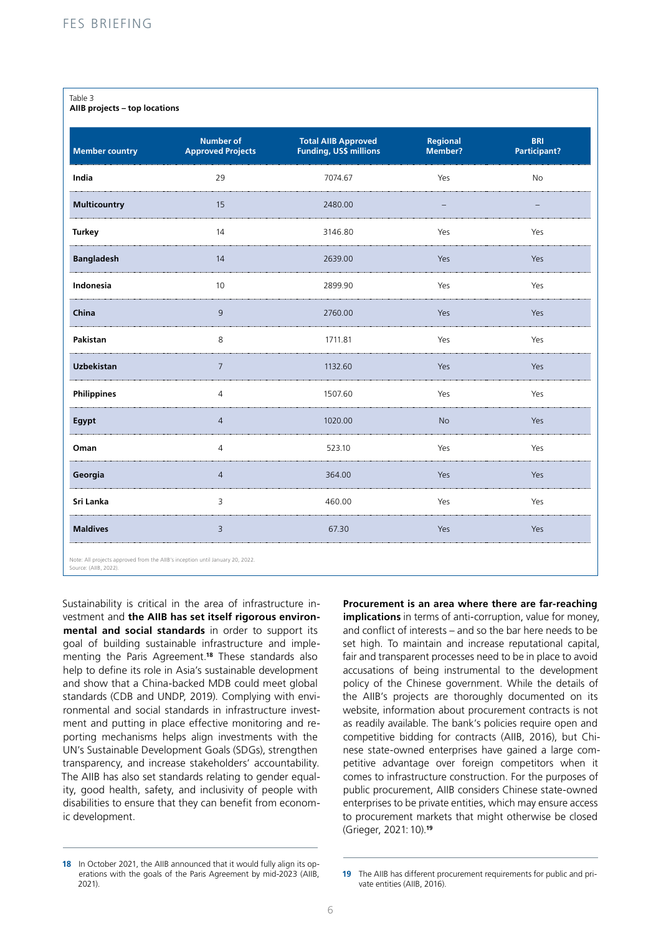| Table 3<br>AIIB projects - top locations                                      |                                              |                                                             |                     |                            |  |  |
|-------------------------------------------------------------------------------|----------------------------------------------|-------------------------------------------------------------|---------------------|----------------------------|--|--|
| <b>Member country</b>                                                         | <b>Number of</b><br><b>Approved Projects</b> | <b>Total AIIB Approved</b><br><b>Funding, US\$ millions</b> | Regional<br>Member? | <b>BRI</b><br>Participant? |  |  |
| India                                                                         | 29                                           | 7074.67                                                     | Yes                 | No                         |  |  |
| <b>Multicountry</b>                                                           | 15                                           | 2480.00                                                     |                     |                            |  |  |
| <b>Turkey</b>                                                                 | 14                                           | 3146.80                                                     | Yes                 | Yes                        |  |  |
| <b>Bangladesh</b>                                                             | 14                                           | 2639.00                                                     | Yes                 | Yes                        |  |  |
| Indonesia                                                                     | 10                                           | 2899.90                                                     | Yes                 | Yes                        |  |  |
| China                                                                         | 9                                            | 2760.00                                                     | Yes                 | Yes                        |  |  |
| Pakistan                                                                      | 8                                            | 1711.81                                                     | Yes                 | Yes                        |  |  |
| <b>Uzbekistan</b>                                                             | $\overline{7}$                               | 1132.60                                                     | Yes                 | Yes                        |  |  |
| <b>Philippines</b>                                                            | $\overline{4}$                               | 1507.60                                                     | Yes                 | Yes                        |  |  |
| Egypt                                                                         | $\overline{4}$                               | 1020.00                                                     | <b>No</b>           | Yes                        |  |  |
| Oman                                                                          | $\overline{4}$                               | 523.10                                                      | Yes                 | Yes                        |  |  |
| Georgia                                                                       | $\overline{4}$                               | 364.00                                                      | Yes                 | Yes                        |  |  |
| Sri Lanka                                                                     | $\overline{3}$                               | 460.00                                                      | Yes                 | Yes                        |  |  |
| <b>Maldives</b>                                                               | $\overline{3}$                               | 67.30                                                       | Yes                 | Yes                        |  |  |
| Note: All projects approved from the AIIB's inception until January 20, 2022. |                                              |                                                             |                     |                            |  |  |

Sustainability is critical in the area of infrastructure investment and **the AIIB has set itself rigorous environmental and social standards** in order to support its goal of building sustainable infrastructure and implementing the Paris Agreement.**<sup>18</sup>** These standards also help to define its role in Asia's sustainable development and show that a China-backed MDB could meet global standards (CDB and UNDP, 2019). Complying with environmental and social standards in infrastructure investment and putting in place effective monitoring and reporting mechanisms helps align investments with the UN's Sustainable Development Goals (SDGs), strengthen transparency, and increase stakeholders' accountability. The AIIB has also set standards relating to gender equality, good health, safety, and inclusivity of people with disabilities to ensure that they can benefit from economic development.

**Procurement is an area where there are far-reaching implications** in terms of anti-corruption, value for money. and conflict of interests – and so the bar here needs to be set high. To maintain and increase reputational capital, fair and transparent processes need to be in place to avoid accusations of being instrumental to the development policy of the Chinese government. While the details of the AIIB's projects are thoroughly documented on its website, information about procurement contracts is not as readily available. The bank's policies require open and competitive bidding for contracts (AIIB, 2016), but Chinese state-owned enterprises have gained a large competitive advantage over foreign competitors when it comes to infrastructure construction. For the purposes of public procurement, AIIB considers Chinese state-owned enterprises to be private entities, which may ensure access to procurement markets that might otherwise be closed (Grieger, 2021:10).**<sup>19</sup>**

Source: (AIIB, 2022).

**<sup>18</sup>** In October 2021, the AIIB announced that it would fully align its operations with the goals of the Paris Agreement by mid-2023 (AIIB, 2021).

**<sup>19</sup>** The AIIB has different procurement requirements for public and private entities (AIIB, 2016).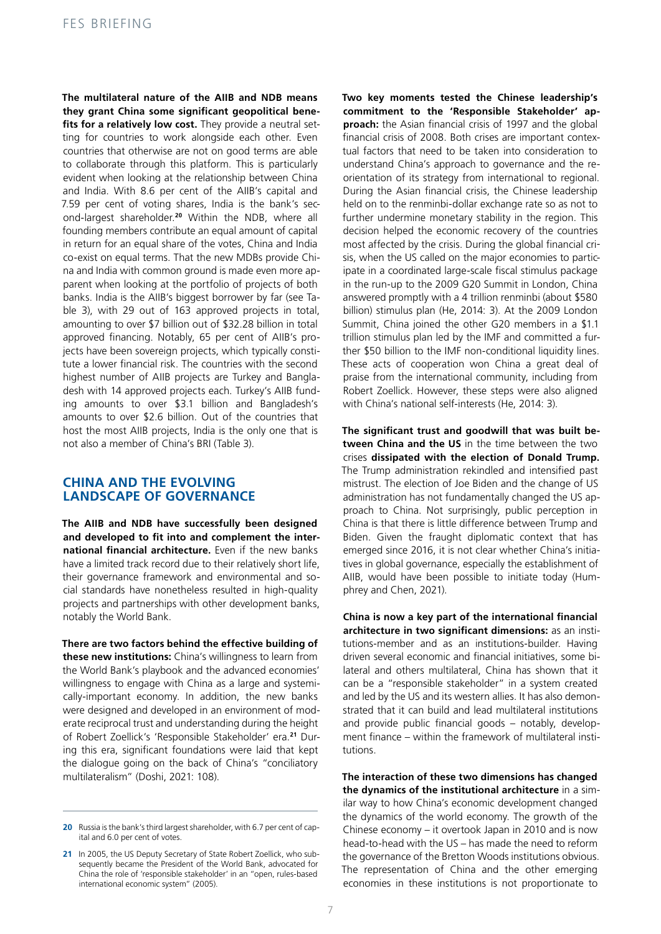**The multilateral nature of the AIIB and NDB means they grant China some significant geopolitical bene**fits for a relatively low cost. They provide a neutral setting for countries to work alongside each other. Even countries that otherwise are not on good terms are able to collaborate through this platform. This is particularly evident when looking at the relationship between China and India. With 8.6 per cent of the AIIB's capital and 7.59 per cent of voting shares, India is the bank's second-largest shareholder.**<sup>20</sup>** Within the NDB, where all founding members contribute an equal amount of capital in return for an equal share of the votes, China and India co-exist on equal terms. That the new MDBs provide China and India with common ground is made even more apparent when looking at the portfolio of projects of both banks. India is the AIIB's biggest borrower by far (see Table 3), with 29 out of 163 approved projects in total, amounting to over \$7 billion out of \$32.28 billion in total approved financing. Notably, 65 per cent of AIIB's projects have been sovereign projects, which typically constitute a lower financial risk. The countries with the second highest number of AIIB projects are Turkey and Bangladesh with 14 approved projects each. Turkey's AIIB funding amounts to over \$3.1 billion and Bangladesh's amounts to over \$2.6 billion. Out of the countries that host the most AIIB projects, India is the only one that is not also a member of China's BRI (Table 3).

## **CHINA AND THE EVOLVING LANDSCAPE OF GOVERNANCE**

**The AIIB and NDB have successfully been designed and developed to fit into and complement the international financial architecture.** Even if the new banks have a limited track record due to their relatively short life, their governance framework and environmental and social standards have nonetheless resulted in high-quality projects and partnerships with other development banks, notably the World Bank.

**There are two factors behind the effective building of these new institutions:** China's willingness to learn from the World Bank's playbook and the advanced economies' willingness to engage with China as a large and systemically-important economy. In addition, the new banks were designed and developed in an environment of moderate reciprocal trust and understanding during the height of Robert Zoellick's 'Responsible Stakeholder' era.**21** During this era, significant foundations were laid that kept the dialogue going on the back of China's "conciliatory multilateralism" (Doshi, 2021: 108).

**Two key moments tested the Chinese leadership's commitment to the 'Responsible Stakeholder' approach:** the Asian financial crisis of 1997 and the global financial crisis of 2008. Both crises are important contextual factors that need to be taken into consideration to understand China's approach to governance and the reorientation of its strategy from international to regional. During the Asian financial crisis, the Chinese leadership held on to the renminbi-dollar exchange rate so as not to further undermine monetary stability in the region. This decision helped the economic recovery of the countries most affected by the crisis. During the global financial crisis, when the US called on the major economies to participate in a coordinated large-scale fiscal stimulus package in the run-up to the 2009 G20 Summit in London, China answered promptly with a 4 trillion renminbi (about \$580 billion) stimulus plan (He, 2014: 3). At the 2009 London Summit, China joined the other G20 members in a \$1.1 trillion stimulus plan led by the IMF and committed a further \$50 billion to the IMF non-conditional liquidity lines. These acts of cooperation won China a great deal of praise from the international community, including from Robert Zoellick. However, these steps were also aligned with China's national self-interests (He, 2014: 3).

**The significant trust and goodwill that was built between China and the US** in the time between the two crises **dissipated with the election of Donald Trump.**  The Trump administration rekindled and intensified past mistrust. The election of Joe Biden and the change of US administration has not fundamentally changed the US approach to China. Not surprisingly, public perception in China is that there is little difference between Trump and Biden. Given the fraught diplomatic context that has emerged since 2016, it is not clear whether China's initiatives in global governance, especially the establishment of AIIB, would have been possible to initiate today (Humphrey and Chen, 2021).

**China is now a key part of the international financial architecture in two significant dimensions:** as an institutions-member and as an institutions-builder. Having driven several economic and financial initiatives, some bilateral and others multilateral, China has shown that it can be a "responsible stakeholder" in a system created and led by the US and its western allies. It has also demonstrated that it can build and lead multilateral institutions and provide public financial goods – notably, development finance – within the framework of multilateral institutions.

**The interaction of these two dimensions has changed the dynamics of the institutional architecture** in a similar way to how China's economic development changed the dynamics of the world economy. The growth of the Chinese economy – it overtook Japan in 2010 and is now head-to-head with the US – has made the need to reform the governance of the Bretton Woods institutions obvious. The representation of China and the other emerging economies in these institutions is not proportionate to

**<sup>20</sup>** Russia is the bank's third largest shareholder, with 6.7 per cent of capital and 6.0 per cent of votes.

**<sup>21</sup>** In 2005, the US Deputy Secretary of State Robert Zoellick, who subsequently became the President of the World Bank, advocated for China the role of 'responsible stakeholder' in an "open, rules-based international economic system" (2005).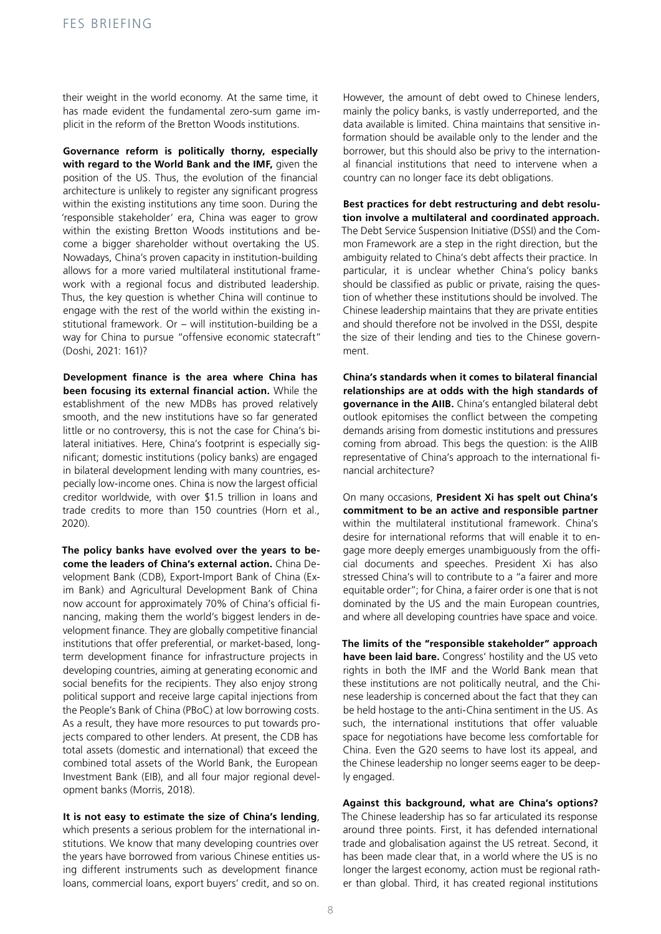their weight in the world economy. At the same time, it has made evident the fundamental zero-sum game implicit in the reform of the Bretton Woods institutions.

**Governance reform is politically thorny, especially with regard to the World Bank and the IMF,** given the position of the US. Thus, the evolution of the financial architecture is unlikely to register any significant progress within the existing institutions any time soon. During the 'responsible stakeholder' era, China was eager to grow within the existing Bretton Woods institutions and become a bigger shareholder without overtaking the US. Nowadays, China's proven capacity in institution-building allows for a more varied multilateral institutional framework with a regional focus and distributed leadership. Thus, the key question is whether China will continue to engage with the rest of the world within the existing institutional framework. Or – will institution-building be a way for China to pursue "offensive economic statecraft" (Doshi, 2021: 161)?

**Development finance is the area where China has been focusing its external financial action.** While the establishment of the new MDBs has proved relatively smooth, and the new institutions have so far generated little or no controversy, this is not the case for China's bilateral initiatives. Here, China's footprint is especially significant; domestic institutions (policy banks) are engaged in bilateral development lending with many countries, especially low-income ones. China is now the largest official creditor worldwide, with over \$1.5 trillion in loans and trade credits to more than 150 countries (Horn et al., 2020).

**The policy banks have evolved over the years to become the leaders of China's external action.** China Development Bank (CDB), Export-Import Bank of China (Exim Bank) and Agricultural Development Bank of China now account for approximately 70% of China's official financing, making them the world's biggest lenders in development finance. They are globally competitive financial institutions that offer preferential, or market-based, longterm development finance for infrastructure projects in developing countries, aiming at generating economic and social benefits for the recipients. They also enjoy strong political support and receive large capital injections from the People's Bank of China (PBoC) at low borrowing costs. As a result, they have more resources to put towards projects compared to other lenders. At present, the CDB has total assets (domestic and international) that exceed the combined total assets of the World Bank, the European Investment Bank (EIB), and all four major regional development banks (Morris, 2018).

**It is not easy to estimate the size of China's lending**, which presents a serious problem for the international institutions. We know that many developing countries over the years have borrowed from various Chinese entities using different instruments such as development finance loans, commercial loans, export buyers' credit, and so on.

However, the amount of debt owed to Chinese lenders, mainly the policy banks, is vastly underreported, and the data available is limited. China maintains that sensitive information should be available only to the lender and the borrower, but this should also be privy to the international financial institutions that need to intervene when a country can no longer face its debt obligations.

**Best practices for debt restructuring and debt resolution involve a multilateral and coordinated approach.**  The Debt Service Suspension Initiative (DSSI) and the Common Framework are a step in the right direction, but the ambiguity related to China's debt affects their practice. In particular, it is unclear whether China's policy banks should be classified as public or private, raising the question of whether these institutions should be involved. The Chinese leadership maintains that they are private entities and should therefore not be involved in the DSSI, despite the size of their lending and ties to the Chinese government.

**China's standards when it comes to bilateral financial relationships are at odds with the high standards of governance in the AIIB.** China's entangled bilateral debt outlook epitomises the conflict between the competing demands arising from domestic institutions and pressures coming from abroad. This begs the question: is the AIIB representative of China's approach to the international financial architecture?

On many occasions, **President Xi has spelt out China's commitment to be an active and responsible partner**  within the multilateral institutional framework. China's desire for international reforms that will enable it to engage more deeply emerges unambiguously from the official documents and speeches. President Xi has also stressed China's will to contribute to a "a fairer and more equitable order"; for China, a fairer order is one that is not dominated by the US and the main European countries, and where all developing countries have space and voice.

**The limits of the "responsible stakeholder" approach have been laid bare.** Congress' hostility and the US veto rights in both the IMF and the World Bank mean that these institutions are not politically neutral, and the Chinese leadership is concerned about the fact that they can be held hostage to the anti-China sentiment in the US. As such, the international institutions that offer valuable space for negotiations have become less comfortable for China. Even the G20 seems to have lost its appeal, and the Chinese leadership no longer seems eager to be deeply engaged.

**Against this background, what are China's options?**  The Chinese leadership has so far articulated its response around three points. First, it has defended international trade and globalisation against the US retreat. Second, it has been made clear that, in a world where the US is no longer the largest economy, action must be regional rather than global. Third, it has created regional institutions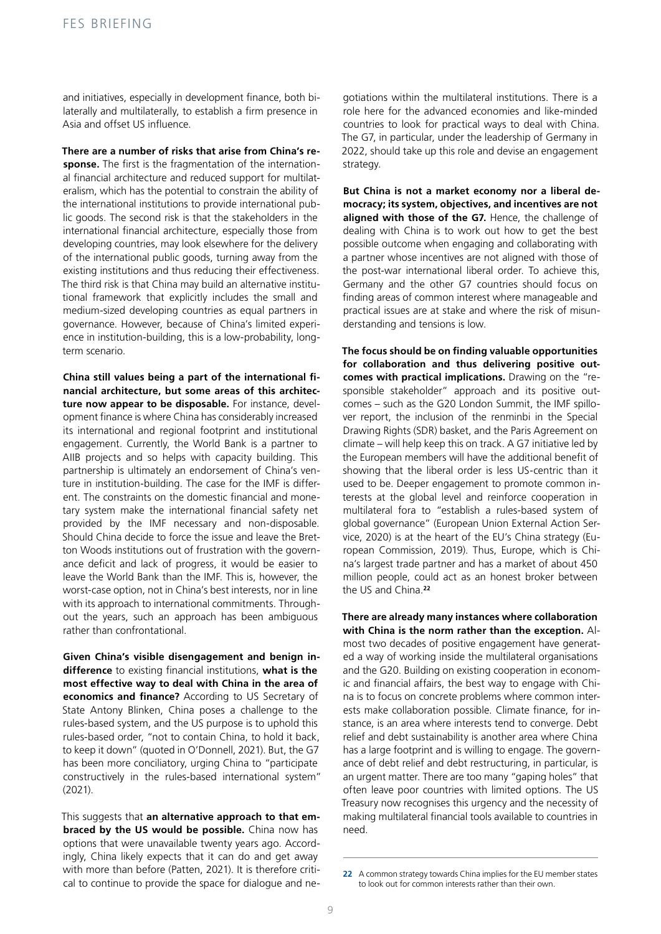and initiatives, especially in development finance, both bilaterally and multilaterally, to establish a firm presence in Asia and offset US influence.

**There are a number of risks that arise from China's response.** The first is the fragmentation of the international financial architecture and reduced support for multilateralism, which has the potential to constrain the ability of the international institutions to provide international public goods. The second risk is that the stakeholders in the international financial architecture, especially those from developing countries, may look elsewhere for the delivery of the international public goods, turning away from the existing institutions and thus reducing their effectiveness. The third risk is that China may build an alternative institutional framework that explicitly includes the small and medium-sized developing countries as equal partners in governance. However, because of China's limited experience in institution-building, this is a low-probability, longterm scenario.

**China still values being a part of the international financial architecture, but some areas of this architecture now appear to be disposable.** For instance, development finance is where China has considerably increased its international and regional footprint and institutional engagement. Currently, the World Bank is a partner to AIIB projects and so helps with capacity building. This partnership is ultimately an endorsement of China's venture in institution-building. The case for the IMF is different. The constraints on the domestic financial and monetary system make the international financial safety net provided by the IMF necessary and non-disposable. Should China decide to force the issue and leave the Bretton Woods institutions out of frustration with the governance deficit and lack of progress, it would be easier to leave the World Bank than the IMF. This is, however, the worst-case option, not in China's best interests, nor in line with its approach to international commitments. Throughout the years, such an approach has been ambiguous rather than confrontational.

**Given China's visible disengagement and benign indifference** to existing financial institutions, **what is the most effective way to deal with China in the area of economics and finance?** According to US Secretary of State Antony Blinken, China poses a challenge to the rules-based system, and the US purpose is to uphold this rules-based order, "not to contain China, to hold it back, to keep it down" (quoted in O'Donnell, 2021). But, the G7 has been more conciliatory, urging China to "participate constructively in the rules-based international system" (2021).

This suggests that **an alternative approach to that embraced by the US would be possible.** China now has options that were unavailable twenty years ago. Accordingly, China likely expects that it can do and get away with more than before (Patten, 2021). It is therefore critical to continue to provide the space for dialogue and ne-

gotiations within the multilateral institutions. There is a role here for the advanced economies and like-minded countries to look for practical ways to deal with China. The G7, in particular, under the leadership of Germany in 2022, should take up this role and devise an engagement strategy.

**But China is not a market economy nor a liberal democracy; its system, objectives, and incentives are not aligned with those of the G7.** Hence, the challenge of dealing with China is to work out how to get the best possible outcome when engaging and collaborating with a partner whose incentives are not aligned with those of the post-war international liberal order. To achieve this, Germany and the other G7 countries should focus on finding areas of common interest where manageable and practical issues are at stake and where the risk of misunderstanding and tensions is low.

**The focus should be on finding valuable opportunities for collaboration and thus delivering positive outcomes with practical implications.** Drawing on the "responsible stakeholder" approach and its positive outcomes – such as the G20 London Summit, the IMF spillover report, the inclusion of the renminbi in the Special Drawing Rights (SDR) basket, and the Paris Agreement on climate – will help keep this on track. A G7 initiative led by the European members will have the additional benefit of showing that the liberal order is less US-centric than it used to be. Deeper engagement to promote common interests at the global level and reinforce cooperation in multilateral fora to "establish a rules-based system of global governance" (European Union External Action Service, 2020) is at the heart of the EU's China strategy (European Commission, 2019). Thus, Europe, which is China's largest trade partner and has a market of about 450 million people, could act as an honest broker between the US and China.**<sup>22</sup>**

**There are already many instances where collaboration with China is the norm rather than the exception.** Almost two decades of positive engagement have generated a way of working inside the multilateral organisations and the G20. Building on existing cooperation in economic and financial affairs, the best way to engage with China is to focus on concrete problems where common interests make collaboration possible. Climate finance, for instance, is an area where interests tend to converge. Debt relief and debt sustainability is another area where China has a large footprint and is willing to engage. The governance of debt relief and debt restructuring, in particular, is an urgent matter. There are too many "gaping holes" that often leave poor countries with limited options. The US Treasury now recognises this urgency and the necessity of making multilateral financial tools available to countries in need.

**<sup>22</sup>** A common strategy towards China implies for the EU member states to look out for common interests rather than their own.